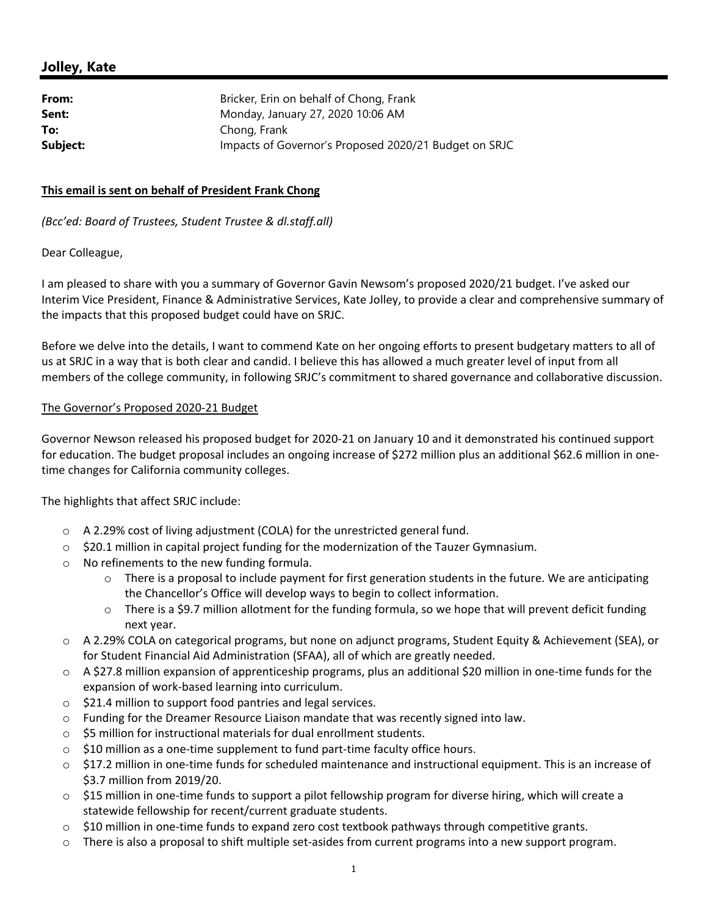## **Jolley, Kate**

| From:    | Bricker, Erin on behalf of Chong, Frank               |
|----------|-------------------------------------------------------|
| Sent:    | Monday, January 27, 2020 10:06 AM                     |
| To:      | Chong, Frank                                          |
| Subject: | Impacts of Governor's Proposed 2020/21 Budget on SRJC |

## **This email is sent on behalf of President Frank Chong**

*(Bcc'ed: Board of Trustees, Student Trustee & dl.staff.all)*

## Dear Colleague,

I am pleased to share with you a summary of Governor Gavin Newsom's proposed 2020/21 budget. I've asked our Interim Vice President, Finance & Administrative Services, Kate Jolley, to provide a clear and comprehensive summary of the impacts that this proposed budget could have on SRJC.

Before we delve into the details, I want to commend Kate on her ongoing efforts to present budgetary matters to all of us at SRJC in a way that is both clear and candid. I believe this has allowed a much greater level of input from all members of the college community, in following SRJC's commitment to shared governance and collaborative discussion.

## The Governor's Proposed 2020‐21 Budget

Governor Newson released his proposed budget for 2020‐21 on January 10 and it demonstrated his continued support for education. The budget proposal includes an ongoing increase of \$272 million plus an additional \$62.6 million in onetime changes for California community colleges.

The highlights that affect SRJC include:

- o A 2.29% cost of living adjustment (COLA) for the unrestricted general fund.
- o \$20.1 million in capital project funding for the modernization of the Tauzer Gymnasium.
- o No refinements to the new funding formula.
	- $\circ$  There is a proposal to include payment for first generation students in the future. We are anticipating the Chancellor's Office will develop ways to begin to collect information.
	- $\circ$  There is a \$9.7 million allotment for the funding formula, so we hope that will prevent deficit funding next year.
- o A 2.29% COLA on categorical programs, but none on adjunct programs, Student Equity & Achievement (SEA), or for Student Financial Aid Administration (SFAA), all of which are greatly needed.
- o A \$27.8 million expansion of apprenticeship programs, plus an additional \$20 million in one‐time funds for the expansion of work‐based learning into curriculum.
- o \$21.4 million to support food pantries and legal services.
- o Funding for the Dreamer Resource Liaison mandate that was recently signed into law.
- o \$5 million for instructional materials for dual enrollment students.
- o \$10 million as a one‐time supplement to fund part‐time faculty office hours.
- o \$17.2 million in one‐time funds for scheduled maintenance and instructional equipment. This is an increase of \$3.7 million from 2019/20.
- o \$15 million in one‐time funds to support a pilot fellowship program for diverse hiring, which will create a statewide fellowship for recent/current graduate students.
- o \$10 million in one‐time funds to expand zero cost textbook pathways through competitive grants.
- o There is also a proposal to shift multiple set‐asides from current programs into a new support program.